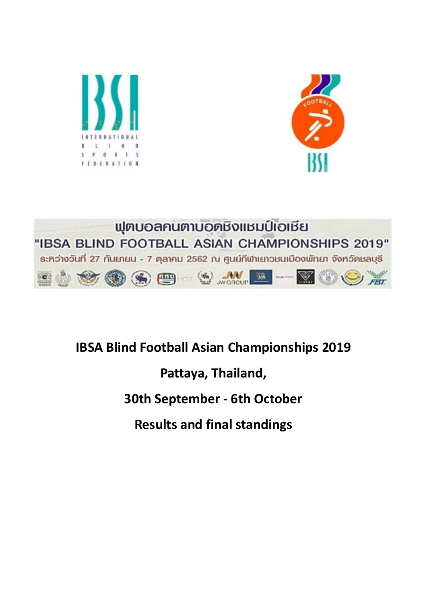





# IBSA Blind Football Asian Championships 2019

Pattaya, Thailand,

# 30th September - 6th October

Results and final standings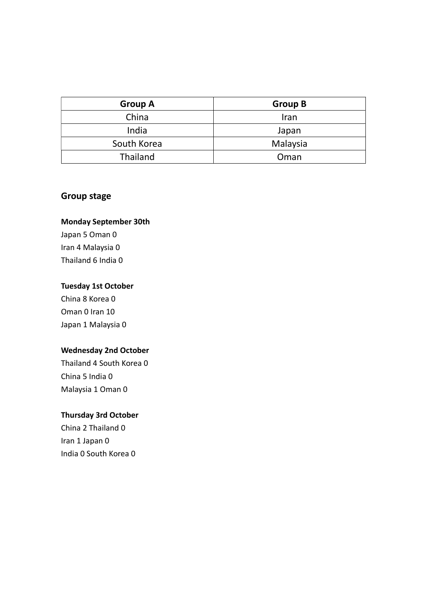| <b>Group A</b> | <b>Group B</b> |
|----------------|----------------|
| China          | Iran           |
| India          | Japan          |
| South Korea    | Malaysia       |
| Thailand       | Oman           |

## Group stage

#### Monday September 30th

Japan 5 Oman 0 Iran 4 Malaysia 0 Thailand 6 India 0

#### Tuesday 1st October

China 8 Korea 0 Oman 0 Iran 10 Japan 1 Malaysia 0

## Wednesday 2nd October

Thailand 4 South Korea 0 China 5 India 0 Malaysia 1 Oman 0

### Thursday 3rd October

China 2 Thailand 0 Iran 1 Japan 0 India 0 South Korea 0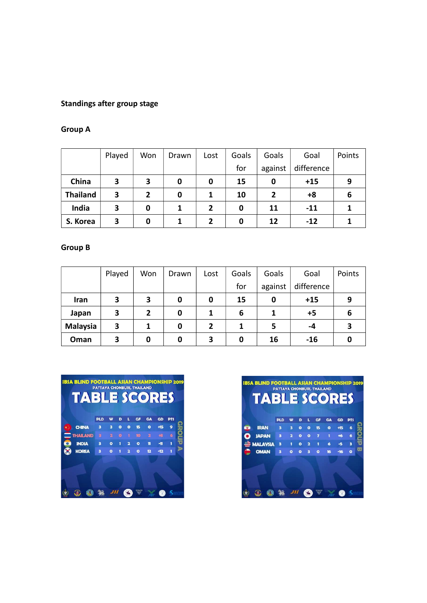## Standings after group stage

#### Group A

|                 | Played | Won            | Drawn | Lost           | Goals | Goals          | Goal       | Points |
|-----------------|--------|----------------|-------|----------------|-------|----------------|------------|--------|
|                 |        |                |       |                | for   | against        | difference |        |
| China           | 3      | 3              | 0     | 0              | 15    | 0              | $+15$      | 9      |
| <b>Thailand</b> | 3      | $\overline{2}$ | 0     |                | 10    | $\overline{2}$ | +8         | 6      |
| India           | 3      | 0              |       | $\overline{2}$ | 0     | 11             | $-11$      |        |
| S. Korea        | 3      | 0              |       | $\mathbf{2}$   | 0     | 12             | $-12$      |        |

#### Group B

|                 | Played | Won | Drawn | Lost           | Goals | Goals   | Goal       | Points |
|-----------------|--------|-----|-------|----------------|-------|---------|------------|--------|
|                 |        |     |       |                | for   | against | difference |        |
| Iran            | 3      | 3   | 0     | 0              | 15    | 0       | $+15$      | 9      |
| Japan           | 3      | 2   | 0     |                | 6     |         | $+5$       | ь      |
| <b>Malaysia</b> | 3      |     | 0     | $\overline{2}$ |       | 5       | -4         |        |
| Oman            | 3      | 0   | 0     | 3              | 0     | 16      | $-16$      |        |



|                 | <b>PLD</b> |   | D |   | GF | GA | GD    | <b>PTS</b> |  |
|-----------------|------------|---|---|---|----|----|-------|------------|--|
| <b>IRAN</b>     | a          |   | o | Ω | 15 | o  | 415   | 6          |  |
| <b>JAPAN</b>    | в          |   | ٥ | ۰ |    | 1  | $+6$  | 6          |  |
| <b>MALAYSIA</b> | в          |   | Ω | 2 |    | 6  | -5    | a          |  |
| <b>OMAN</b>     | з          | o |   | в | ٥  | 16 | $-16$ | $\bullet$  |  |